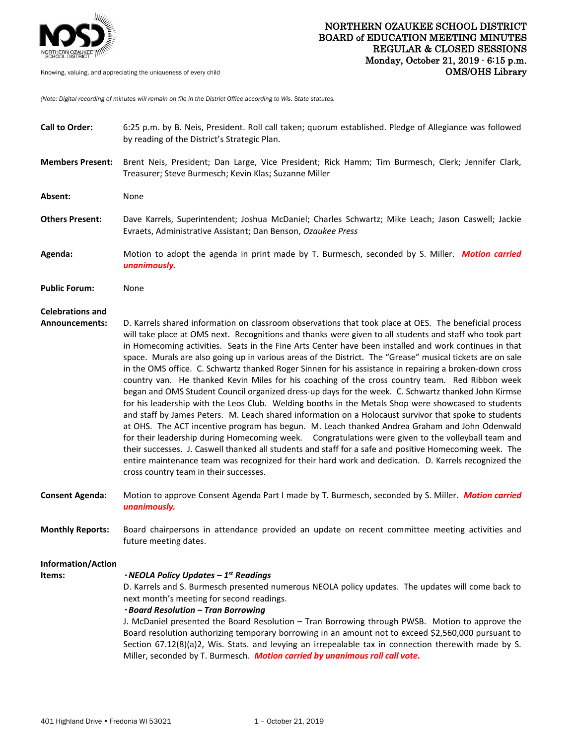

*(Note: Digital recording of minutes will remain on file in the District Office according to Wis. State statutes.* 

| <b>Call to Order:</b>                            | 6:25 p.m. by B. Neis, President. Roll call taken; quorum established. Pledge of Allegiance was followed<br>by reading of the District's Strategic Plan.                                                                                                                                                                                                                                                                                                                                                                                                                                                                                                                                                                                                                                                                                                                                                                                                                                                                                                                                                                                                                                                                                                                                                                                                                                                                                            |
|--------------------------------------------------|----------------------------------------------------------------------------------------------------------------------------------------------------------------------------------------------------------------------------------------------------------------------------------------------------------------------------------------------------------------------------------------------------------------------------------------------------------------------------------------------------------------------------------------------------------------------------------------------------------------------------------------------------------------------------------------------------------------------------------------------------------------------------------------------------------------------------------------------------------------------------------------------------------------------------------------------------------------------------------------------------------------------------------------------------------------------------------------------------------------------------------------------------------------------------------------------------------------------------------------------------------------------------------------------------------------------------------------------------------------------------------------------------------------------------------------------------|
| <b>Members Present:</b>                          | Brent Neis, President; Dan Large, Vice President; Rick Hamm; Tim Burmesch, Clerk; Jennifer Clark,<br>Treasurer; Steve Burmesch; Kevin Klas; Suzanne Miller                                                                                                                                                                                                                                                                                                                                                                                                                                                                                                                                                                                                                                                                                                                                                                                                                                                                                                                                                                                                                                                                                                                                                                                                                                                                                         |
| Absent:                                          | None                                                                                                                                                                                                                                                                                                                                                                                                                                                                                                                                                                                                                                                                                                                                                                                                                                                                                                                                                                                                                                                                                                                                                                                                                                                                                                                                                                                                                                               |
| <b>Others Present:</b>                           | Dave Karrels, Superintendent; Joshua McDaniel; Charles Schwartz; Mike Leach; Jason Caswell; Jackie<br>Evraets, Administrative Assistant; Dan Benson, Ozaukee Press                                                                                                                                                                                                                                                                                                                                                                                                                                                                                                                                                                                                                                                                                                                                                                                                                                                                                                                                                                                                                                                                                                                                                                                                                                                                                 |
| Agenda:                                          | Motion to adopt the agenda in print made by T. Burmesch, seconded by S. Miller. Motion carried<br>unanimously.                                                                                                                                                                                                                                                                                                                                                                                                                                                                                                                                                                                                                                                                                                                                                                                                                                                                                                                                                                                                                                                                                                                                                                                                                                                                                                                                     |
| <b>Public Forum:</b>                             | None                                                                                                                                                                                                                                                                                                                                                                                                                                                                                                                                                                                                                                                                                                                                                                                                                                                                                                                                                                                                                                                                                                                                                                                                                                                                                                                                                                                                                                               |
| <b>Celebrations and</b><br><b>Announcements:</b> | D. Karrels shared information on classroom observations that took place at OES. The beneficial process<br>will take place at OMS next. Recognitions and thanks were given to all students and staff who took part<br>in Homecoming activities. Seats in the Fine Arts Center have been installed and work continues in that<br>space. Murals are also going up in various areas of the District. The "Grease" musical tickets are on sale<br>in the OMS office. C. Schwartz thanked Roger Sinnen for his assistance in repairing a broken-down cross<br>country van. He thanked Kevin Miles for his coaching of the cross country team. Red Ribbon week<br>began and OMS Student Council organized dress-up days for the week. C. Schwartz thanked John Kirmse<br>for his leadership with the Leos Club. Welding booths in the Metals Shop were showcased to students<br>and staff by James Peters. M. Leach shared information on a Holocaust survivor that spoke to students<br>at OHS. The ACT incentive program has begun. M. Leach thanked Andrea Graham and John Odenwald<br>for their leadership during Homecoming week. Congratulations were given to the volleyball team and<br>their successes. J. Caswell thanked all students and staff for a safe and positive Homecoming week. The<br>entire maintenance team was recognized for their hard work and dedication. D. Karrels recognized the<br>cross country team in their successes. |
| <b>Consent Agenda:</b>                           | Motion to approve Consent Agenda Part I made by T. Burmesch, seconded by S. Miller. Motion carried<br>unanimously.                                                                                                                                                                                                                                                                                                                                                                                                                                                                                                                                                                                                                                                                                                                                                                                                                                                                                                                                                                                                                                                                                                                                                                                                                                                                                                                                 |
| <b>Monthly Reports:</b>                          | Board chairpersons in attendance provided an update on recent committee meeting activities and<br>future meeting dates.                                                                                                                                                                                                                                                                                                                                                                                                                                                                                                                                                                                                                                                                                                                                                                                                                                                                                                                                                                                                                                                                                                                                                                                                                                                                                                                            |
| <b>Information/Action</b><br>Items:              | $\cdot$ NEOLA Policy Updates – 1st Readings<br>D. Karrels and S. Burmesch presented numerous NEOLA policy updates. The updates will come back to<br>next month's meeting for second readings.<br>· Board Resolution - Tran Borrowing<br>J. McDaniel presented the Board Resolution - Tran Borrowing through PWSB. Motion to approve the<br>Board resolution authorizing temporary borrowing in an amount not to exceed \$2,560,000 pursuant to<br>Section 67.12(8)(a)2, Wis. Stats. and levying an irrepealable tax in connection therewith made by S.<br>Miller, seconded by T. Burmesch. Motion carried by unanimous roll call vote.                                                                                                                                                                                                                                                                                                                                                                                                                                                                                                                                                                                                                                                                                                                                                                                                             |